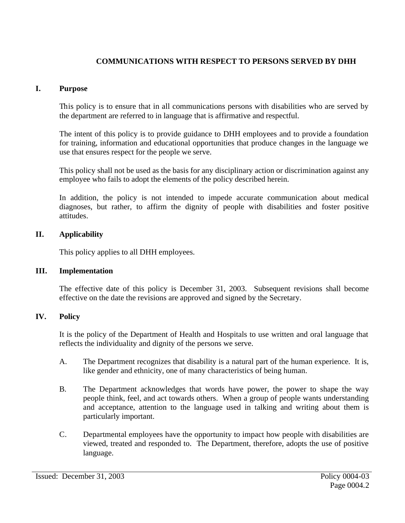# **COMMUNICATIONS WITH RESPECT TO PERSONS SERVED BY DHH**

#### **I. Purpose**

This policy is to ensure that in all communications persons with disabilities who are served by the department are referred to in language that is affirmative and respectful.

The intent of this policy is to provide guidance to DHH employees and to provide a foundation for training, information and educational opportunities that produce changes in the language we use that ensures respect for the people we serve.

This policy shall not be used as the basis for any disciplinary action or discrimination against any employee who fails to adopt the elements of the policy described herein.

In addition, the policy is not intended to impede accurate communication about medical diagnoses, but rather, to affirm the dignity of people with disabilities and foster positive attitudes.

### **II. Applicability**

This policy applies to all DHH employees.

#### **III. Implementation**

The effective date of this policy is December 31, 2003. Subsequent revisions shall become effective on the date the revisions are approved and signed by the Secretary.

#### **IV. Policy**

It is the policy of the Department of Health and Hospitals to use written and oral language that reflects the individuality and dignity of the persons we serve.

- A. The Department recognizes that disability is a natural part of the human experience. It is, like gender and ethnicity, one of many characteristics of being human.
- B. The Department acknowledges that words have power, the power to shape the way people think, feel, and act towards others. When a group of people wants understanding and acceptance, attention to the language used in talking and writing about them is particularly important.
- C. Departmental employees have the opportunity to impact how people with disabilities are viewed, treated and responded to. The Department, therefore, adopts the use of positive language.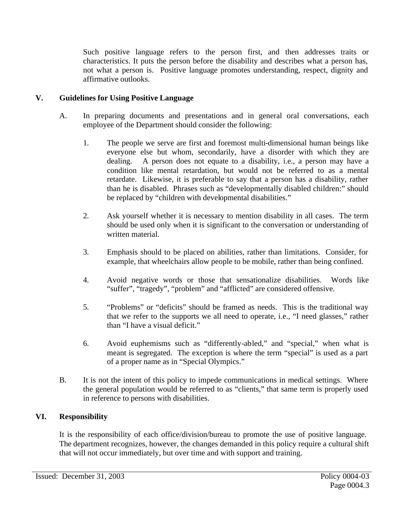Such positive language refers to the person first, and then addresses traits or characteristics. It puts the person before the disability and describes what a person has, not what a person is. Positive language promotes understanding, respect, dignity and affirmative outlooks.

# **V. Guidelines for Using Positive Language**

- A. In preparing documents and presentations and in general oral conversations, each employee of the Department should consider the following:
	- 1. The people we serve are first and foremost multi-dimensional human beings like everyone else but whom, secondarily, have a disorder with which they are dealing. A person does not equate to a disability, i.e., a person may have a condition like mental retardation, but would not be referred to as a mental retardate. Likewise, it is preferable to say that a person has a disability, rather than he is disabled. Phrases such as "developmentally disabled children:" should be replaced by "children with developmental disabilities."
	- 2. Ask yourself whether it is necessary to mention disability in all cases. The term should be used only when it is significant to the conversation or understanding of written material.
	- 3. Emphasis should to be placed on abilities, rather than limitations. Consider, for example, that wheelchairs allow people to be mobile, rather than being confined.
	- 4. Avoid negative words or those that sensationalize disabilities. Words like "suffer", "tragedy", "problem" and "afflicted" are considered offensive.
	- 5. "Problems" or "deficits" should be framed as needs. This is the traditional way that we refer to the supports we all need to operate, i.e., "I need glasses," rather than "I have a visual deficit."
	- 6. Avoid euphemisms such as "differently-abled," and "special," when what is meant is segregated. The exception is where the term "special" is used as a part of a proper name as in "Special Olympics."
- B. It is not the intent of this policy to impede communications in medical settings. Where the general population would be referred to as "clients," that same term is properly used in reference to persons with disabilities.

### **VI. Responsibility**

It is the responsibility of each office/division/bureau to promote the use of positive language. The department recognizes, however, the changes demanded in this policy require a cultural shift that will not occur immediately, but over time and with support and training.